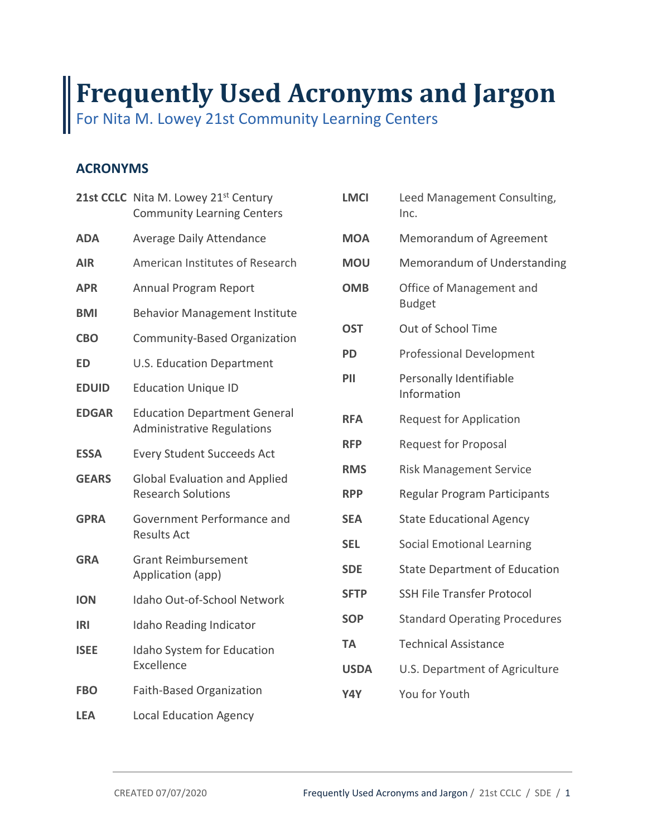# **Used Acronyms and Jargon Frequently Used Acronyms and Jargon**

Nita M. Lowey 21st Community Learning Centers For Nita M. Lowey 21st Community Learning Centers

# **ACRONYMS**

|              | 21st CCLC Nita M. Lowey 21st Century<br><b>Community Learning Centers</b> | <b>LMCI</b>   | Leed Ma<br>Inc.      |
|--------------|---------------------------------------------------------------------------|---------------|----------------------|
| <b>ADA</b>   | Average Daily Attendance                                                  | <b>MOA</b>    | Memora               |
| <b>AIR</b>   | American Institutes of Research                                           | <b>MOU</b>    | Memora               |
| <b>APR</b>   | Annual Program Report                                                     | <b>OMB</b>    | Office of            |
| <b>BMI</b>   | <b>Behavior Management Institute</b>                                      | <b>Budget</b> |                      |
| <b>CBO</b>   | Community-Based Organization                                              | <b>OST</b>    | Out of S             |
| <b>ED</b>    | U.S. Education Department                                                 | <b>PD</b>     | Professio            |
| <b>EDUID</b> | <b>Education Unique ID</b>                                                | PII           | Personal<br>Informat |
| <b>EDGAR</b> | <b>Education Department General</b><br><b>Administrative Regulations</b>  | <b>RFA</b>    | Request              |
| <b>ESSA</b>  | <b>Every Student Succeeds Act</b>                                         | <b>RFP</b>    | Request              |
| <b>GEARS</b> | <b>Global Evaluation and Applied</b><br><b>Research Solutions</b>         | <b>RMS</b>    | <b>Risk Mar</b>      |
|              |                                                                           | <b>RPP</b>    | Regular              |
| <b>GPRA</b>  | Government Performance and<br><b>Results Act</b>                          | <b>SEA</b>    | State Ed             |
|              |                                                                           | <b>SEL</b>    | Social Er            |
| <b>GRA</b>   | <b>Grant Reimbursement</b><br>Application (app)                           | <b>SDE</b>    | State De             |
| <b>ION</b>   | Idaho Out-of-School Network                                               | <b>SFTP</b>   | <b>SSH File</b>      |
| <b>IRI</b>   | <b>Idaho Reading Indicator</b>                                            | <b>SOP</b>    | Standard             |
| <b>ISEE</b>  | Idaho System for Education<br>Excellence                                  | <b>TA</b>     | Technica             |
|              |                                                                           | <b>USDA</b>   | U.S. Dep             |
| <b>FBO</b>   | <b>Faith-Based Organization</b>                                           | Y4Y           | You for \            |
| <b>LEA</b>   | <b>Local Education Agency</b>                                             |               |                      |

| <b>LMCI</b> | Leed Management Consulting,<br>Inc.       |
|-------------|-------------------------------------------|
| <b>MOA</b>  | Memorandum of Agreement                   |
| <b>MOU</b>  | Memorandum of Understanding               |
| <b>OMB</b>  | Office of Management and<br><b>Budget</b> |
| <b>OST</b>  | Out of School Time                        |
| <b>PD</b>   | <b>Professional Development</b>           |
| PII         | Personally Identifiable<br>Information    |
| <b>RFA</b>  | <b>Request for Application</b>            |
| <b>RFP</b>  | <b>Request for Proposal</b>               |
| <b>RMS</b>  | <b>Risk Management Service</b>            |
| <b>RPP</b>  | Regular Program Participants              |
| <b>SEA</b>  | <b>State Educational Agency</b>           |
| <b>SEL</b>  | <b>Social Emotional Learning</b>          |
| <b>SDE</b>  | <b>State Department of Education</b>      |
| <b>SFTP</b> | <b>SSH File Transfer Protocol</b>         |
| <b>SOP</b>  | <b>Standard Operating Procedures</b>      |
| <b>TA</b>   | <b>Technical Assistance</b>               |
| <b>USDA</b> | U.S. Department of Agriculture            |
| Y4Y         | You for Youth                             |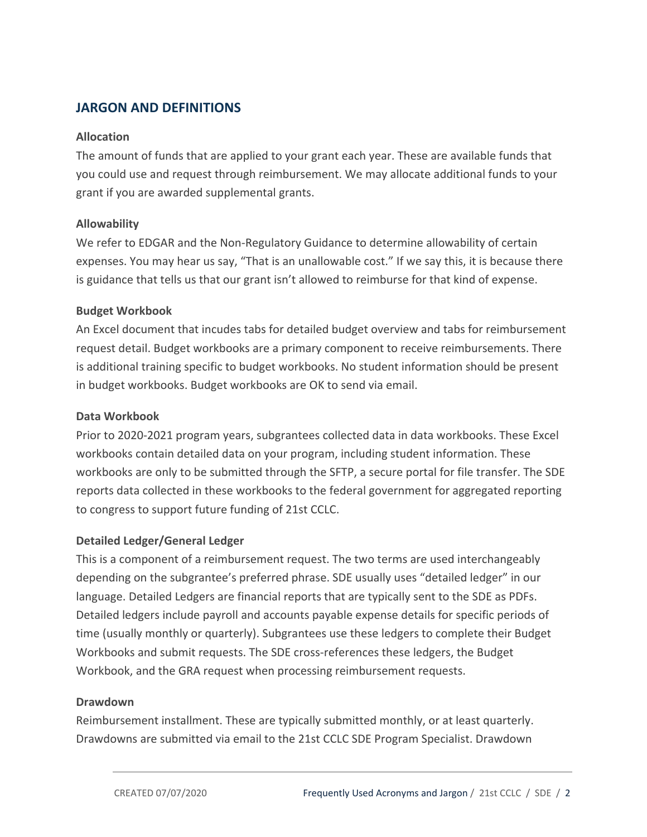## **JARGON AND DEFINITIONS**

#### **Allocation**

 The amount of funds that are applied to your grant each year. These are available funds that you could use and request through reimbursement. We may allocate additional funds to your grant if you are awarded supplemental grants.

#### **Allowability**

 We refer to EDGAR and the Non‐Regulatory Guidance to determine allowability of certain expenses. You may hear us say, "That is an unallowable cost." If we say this, it is because there is guidance that tells us that our grant isn't allowed to reimburse for that kind of expense.

#### **Budget Workbook**

 An Excel document that incudes tabs for detailed budget overview and tabs for reimbursement request detail. Budget workbooks are a primary component to receive reimbursements. There is additional training specific to budget workbooks. No student information should be present in budget workbooks. Budget workbooks are OK to send via email.

#### **Data Workbook**

 Prior to 2020‐2021 program years, subgrantees collected data in data workbooks. These Excel workbooks contain detailed data on your program, including student information. These workbooks are only to be submitted through the SFTP, a secure portal for file transfer. The SDE reports data collected in these workbooks to the federal government for aggregated reporting to congress to support future funding of 21st CCLC.

### **Detailed Ledger/General Ledger**

 This is a component of a reimbursement request. The two terms are used interchangeably depending on the subgrantee's preferred phrase. SDE usually uses "detailed ledger" in our language. Detailed Ledgers are financial reports that are typically sent to the SDE as PDFs. Detailed ledgers include payroll and accounts payable expense details for specific periods of time (usually monthly or quarterly). Subgrantees use these ledgers to complete their Budget Workbooks and submit requests. The SDE cross‐references these ledgers, the Budget Workbook, and the GRA request when processing reimbursement requests.

#### **Drawdown**

 Reimbursement installment. These are typically submitted monthly, or at least quarterly. Drawdowns are submitted via email to the 21st CCLC SDE Program Specialist. Drawdown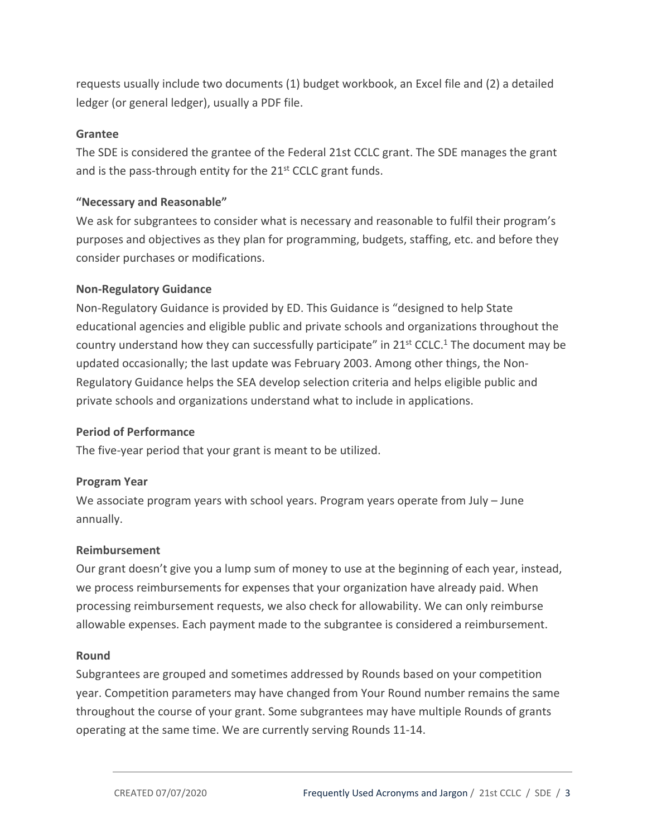requests usually include two documents (1) budget workbook, an Excel file and (2) a detailed ledger (or general ledger), usually a PDF file.

### **Grantee**

 The SDE is considered the grantee of the Federal 21st CCLC grant. The SDE manages the grant and is the pass-through entity for the 21<sup>st</sup> CCLC grant funds.

### **"Necessary and Reasonable"**

 We ask for subgrantees to consider what is necessary and reasonable to fulfil their program's purposes and objectives as they plan for programming, budgets, staffing, etc. and before they consider purchases or modifications.

### **Non‐Regulatory Guidance**

 Non‐Regulatory Guidance is provided by ED. This Guidance is "designed to help State educational agencies and eligible public and private schools and organizations throughout the country understand how they can successfully participate" in  $21^{st}$  CCLC.<sup>1</sup> The document may be updated occasionally; the last update was February 2003. Among other things, the Non‐ Regulatory Guidance helps the SEA develop selection criteria and helps eligible public and private schools and organizations understand what to include in applications.

### **Period of Performance**

The five‐year period that your grant is meant to be utilized.

## **Program Year**

 We associate program years with school years. Program years operate from July – June annually.

### **Reimbursement**

 Our grant doesn't give you a lump sum of money to use at the beginning of each year, instead, we process reimbursements for expenses that your organization have already paid. When processing reimbursement requests, we also check for allowability. We can only reimburse allowable expenses. Each payment made to the subgrantee is considered a reimbursement.

### **Round**

 Subgrantees are grouped and sometimes addressed by Rounds based on your competition year. Competition parameters may have changed from Your Round number remains the same throughout the course of your grant. Some subgrantees may have multiple Rounds of grants operating at the same time. We are currently serving Rounds 11‐14.